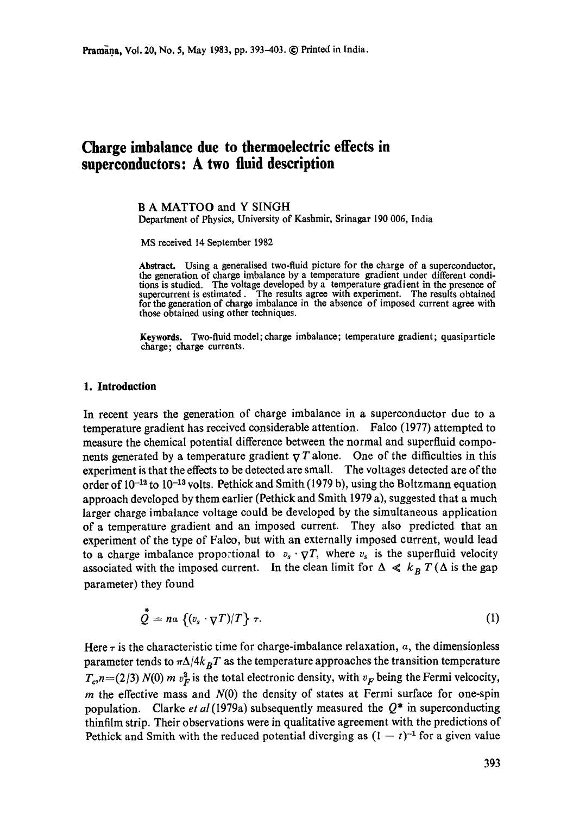# **Charge imbalance due to thermoelectric effects in superconductors: A two fluid description**

# B A MATTOO and Y SINGH

Department of Physics, University of Kashmir, Srinagar 190 006, India

MS received 14 September 1982

**Abstract.** Using a generalised two-fluid picture for the charge of a superconductor, **the** generation of charge imbalance by a temperature gradient under different conditions is studied. The voltage developed by a temperature gradient in the presence of supercurrent is estimated. The results agree with experiment. The results obtained for the generation of charge imbalance in the absence of imposed current agree with those obtained using other techniques.

**Keywords.** Two-fluid model; charge imbalance; temperature gradient; quasiparticle charge; charge currents.

## **1. Introduction**

In recent years the generation of charge imbalance in a superconductor due to a temperature gradient has received considerable attention. Faleo (1977) attempted to measure the chemical potential difference between the normal and superfluid components generated by a temperature gradient  $\nabla T$  alone. One of the difficulties in this experiment is that the effects to be detected are small. The voltages detected are of the order of  $10^{-12}$  to  $10^{-13}$  volts. Pethick and Smith (1979 b), using the Boltzmann equation approach developed by them earlier (Pethiek and Smith 1979 a), suggested that a much larger charge imbalance voltage could be developed by the simultaneous application of a temperature gradient and an imposed current. They also predicted that an experiment of the type of Faleo, but with an externally imposed current, would lead to a charge imbalance proportional to  $v_s \cdot \nabla T$ , where  $v_s$  is the superfluid velocity associated with the imposed current. In the clean limit for  $\Delta \ll k_B T (\Delta$  is the gap parameter) they found

$$
\tilde{Q} = n\alpha \left\{ (v_s \cdot \nabla T)/T \right\} \tau.
$$
 (1)

Here  $\tau$  is the characteristic time for charge-imbalance relaxation,  $\alpha$ , the dimensionless parameter tends to  $\pi\Delta/4k_BT$  as the temperature approaches the transition temperature  $T_c$ ,*n*=(2/3) *N*(0) *m v*<sub> $F$ </sub> is the total electronic density, with *v<sub>F</sub>* being the Fermi velcocity, m the effective mass and  $N(0)$  the density of states at Fermi surface for one-spin population. Clarke *et al* (1979a) subsequently measured the  $Q^*$  in superconducting thinfilm strip. Their observations were in qualitative agreement with the predictions of Pethick and Smith with the reduced potential diverging as  $(1 - t)^{-1}$  for a given value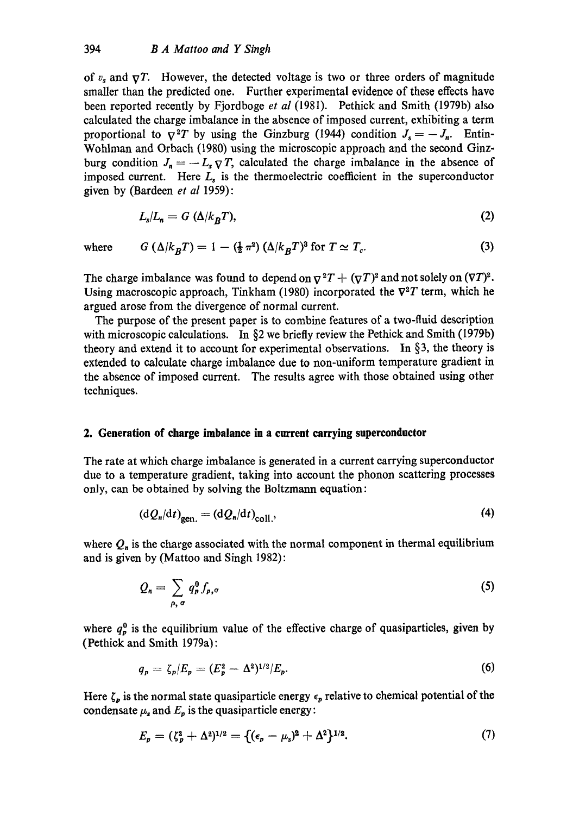of  $v_s$  and  $\nabla T$ . However, the detected voltage is two or three orders of magnitude smaller than the predicted one. Further experimental evidence of these effects have been reported recently by Fjordboge *et al* (1981). Pethiek and Smith (1979b) also calculated the charge imbalance in the absence of imposed current, exhibiting a term proportional to  $\nabla^2 T$  by using the Ginzburg (1944) condition  $J_s = -J_n$ . Entin-Wohlman and Orbach (1980) using the microscopic approach and the second Ginzburg condition  $J_n = -L_s \nabla T$ , calculated the charge imbalance in the absence of imposed current. Here  $L<sub>s</sub>$  is the thermoelectric coefficient in the superconductor given by (Bardeen *et al* 1959):

$$
L_{\rm s}/L_{\rm n} = G\ (\Delta/k_B T),\tag{2}
$$

where  $G(\Delta/k_B)$ 

$$
k_B T = 1 - \left(\frac{1}{2} \pi^2\right) \left(\Delta / k_B T\right)^3 \text{ for } T \simeq T_c. \tag{3}
$$

The charge imbalance was found to depend on  $\nabla^2 T + (\nabla T)^2$  and not solely on  $(\nabla T)^2$ . Using macroscopic approach, Tinkham (1980) incorporated the  $\nabla^2 T$  term, which he argued arose from the divergence of normal current.

The purpose of the present paper is to combine features of a two-fluid description with microscopic calculations. In  $\S 2$  we briefly review the Pethick and Smith (1979b) theory and extend it to account for experimental observations. In  $\S$ 3, the theory is extended to calculate charge imbalance due to non-uniform temperature gradient in the absence of imposed current. The results agree with those obtained using other techniques.

# **2. Generation of charge imbalance in a current carrying superconductor**

The rate at which charge imbalance is generated in a current carrying superconductor due to a temperature gradient, taking into account the phonon scattering processes only, can be obtained by solving the Boltzmann equation:

$$
\left(\mathrm{d}Q_n/\mathrm{d}t\right)_{\text{gen.}} = \left(\mathrm{d}Q_n/\mathrm{d}t\right)_{\text{coll.}},\tag{4}
$$

where  $Q_n$  is the charge associated with the normal component in thermal equilibrium and is given by (Mattoo and Singh 1982):

$$
Q_n = \sum_{\rho,\,\sigma} q_p^0 f_{p,\sigma} \tag{5}
$$

where  $q_p^0$  is the equilibrium value of the effective charge of quasiparticles, given by (Pethick and Smith 1979a):

$$
q_p = \zeta_p / E_p = (E_p^2 - \Delta^2)^{1/2} / E_p. \tag{6}
$$

Here  $\zeta_p$  is the normal state quasiparticle energy  $\epsilon_p$  relative to chemical potential of the condensate  $\mu_s$  and  $E_p$  is the quasiparticle energy:

$$
E_p = (\zeta_p^2 + \Delta^2)^{1/2} = \{ (\epsilon_p - \mu_s)^2 + \Delta^2 \}^{1/2}.
$$
 (7)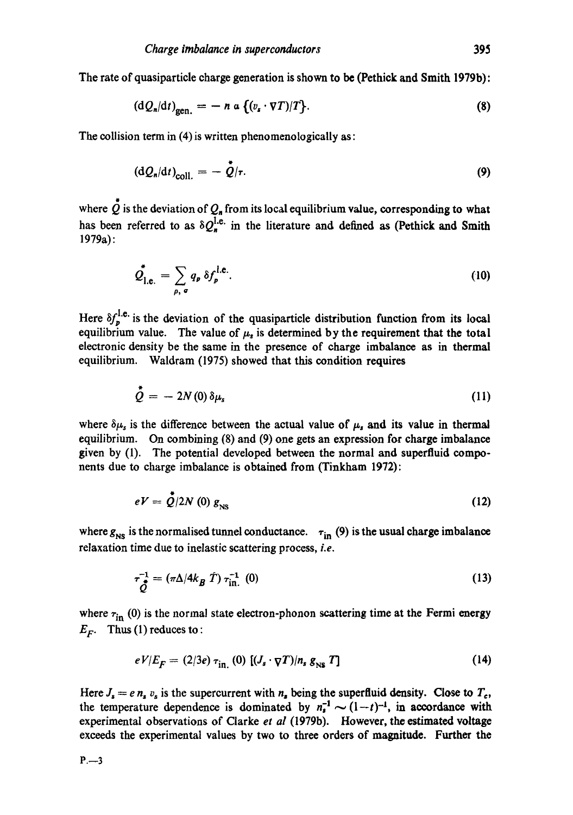The rate of quasiparticle charge generation is shown to be (Pethick and Smith 1979b):

$$
(\mathrm{d}Q_n/\mathrm{d}t)_{\mathrm{gen.}} = - n \alpha \left\{ (v_s \cdot \nabla T)/T \right\}.
$$
 (8)

The collision term in (4) is written phenomenologically as:

$$
\left(\mathrm{d}Q_n/\mathrm{d}t\right)_{\text{coll.}} = -\stackrel{\ast}{Q}/r.\tag{9}
$$

where  $\stackrel{*}{\mathcal{Q}}$  is the deviation of  $\mathcal{Q}_n$  from its local equilibrium value, corresponding to what has been referred to as  $\delta Q_{n}^{l.e.}$  in the literature and defined as (Pethick and Smith 1979a):

$$
\mathcal{Q}_{1,e.}^{\dagger} = \sum_{\rho,\ \sigma} q_{\rho} \ \delta f_{\rho}^{\text{I.e.}}.
$$
 (10)

Here  $\delta f_n^{\text{I.e.}}$  is the deviation of the quasiparticle distribution function from its local equilibrium value. The value of  $\mu_s$  is determined by the requirement that the total electronic density be the same in the presence of charge imbalance as in thermal equilibrium. Waldram (1975) showed that this condition requires

$$
\dot{\tilde{\mathcal{Q}}} = -2N(0)\,\delta\mu_s\tag{11}
$$

where  $\delta\mu_s$  is the difference between the actual value of  $\mu_s$  and its value in thermal equilibrium. On combining (8) and (9) one gets an expression for charge imbalance given by (1). The potential developed between the normal and superfluid components due to charge imbalance is obtained from (Tinkham 1972):

$$
eV = \dot{Q}/2N \tag{12}
$$

where  $g_{NS}$  is the normalised tunnel conductance.  $\tau_{in}$  (9) is the usual charge imbalance relaxation time due to inelastic scattering process, i.e.

$$
\tau_{\hat{\mathcal{Q}}}^{-1} = (\pi \Delta / 4k_B \hat{T}) \tau_{\text{in.}}^{-1} (0)
$$
 (13)

where  $\tau_{\text{in}}$  (0) is the normal state electron-phonon scattering time at the Fermi energy  $E_F$ . Thus (1) reduces to:

$$
eV/E_F = (2/3e) \tau_{\text{in}}(0) \left[ (J_s \cdot \nabla T)/n_s g_{\text{NS}} T \right]
$$
 (14)

Here  $J_s = e \, n_s v_s$  is the supercurrent with  $n_s$  being the superfluid density. Close to  $T_c$ , the temperature dependence is dominated by  $n_1^{-1} \sim (1-t)^{-1}$ , in accordance with experimental observations of Clarke *et al* (1979b). However, the estimated voltage exceeds the experimental values by two to three orders of magnitude. Further the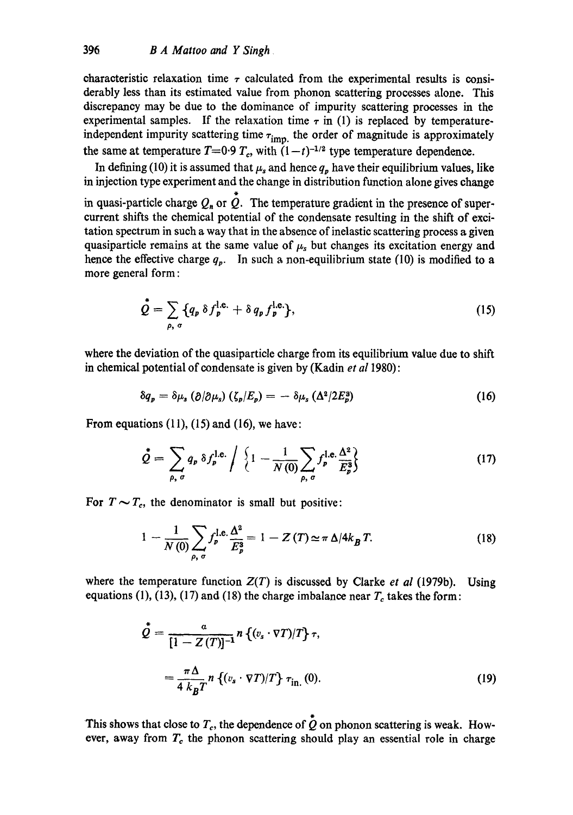characteristic relaxation time  $\tau$  calculated from the experimental results is considerably less than its estimated value from phonon scattering processes alone. This discrepancy may be due to the dominance of impurity scattering processes in the experimental samples. If the relaxation time  $\tau$  in (1) is replaced by temperatureindependent impurity scattering time  $\tau_{\text{imp.}}$  the order of magnitude is approximately the same at temperature  $T=0.9 T_c$ , with  $(1-t)^{-1/2}$  type temperature dependence.

In defining (10) it is assumed that  $\mu_s$  and hence  $q_p$  have their equilibrium values, like in injection type experiment and the change in distribution function alone gives change in quasi-particle charge  $Q_n$  or  $\tilde{Q}$ . The temperature gradient in the presence of supercurrent shifts the chemical potential of the condensate resulting in the shift of excitation spectrum in such a way that in the absence of inelastic scattering process a given quasiparticle remains at the same value of  $\mu_s$  but changes its excitation energy and hence the effective charge  $q_p$ . In such a non-equilibrium state (10) is modified to a more general form:

$$
\stackrel{\bullet}{\mathcal{Q}} = \sum_{\rho, \sigma} \{q_p \,\delta f_p^{\text{l.e.}} + \delta q_p f_p^{\text{l.e.}} \},\tag{15}
$$

where the deviation of the quasiparticle charge from its equilibrium value due to shift in chemical potential of condensate is given by (Kadin *et a11980):* 

$$
\delta q_p = \delta \mu_s \left( \partial / \partial \mu_s \right) \left( \zeta_p / E_p \right) = - \delta \mu_s \left( \Delta^2 / 2 E_p^3 \right) \tag{16}
$$

From equations  $(11)$ ,  $(15)$  and  $(16)$ , we have:

$$
\dot{\mathcal{Q}} = \sum_{\rho, \sigma} q_p \,\delta f_p^{\text{l.e.}} \bigg/ \left\{ 1 - \frac{1}{N(0)} \sum_{\rho, \sigma} f_p^{\text{l.e.}} \frac{\Delta^2}{E_p^3} \right\} \tag{17}
$$

For  $T \sim T_c$ , the denominator is small but positive:

$$
1 - \frac{1}{N(0)} \sum_{\rho, \sigma} f_p^{1,e} \frac{\Delta^2}{E_p^3} = 1 - Z(T) \simeq \pi \Delta/4k_B T.
$$
 (18)

where the temperature function  $Z(T)$  is discussed by Clarke *et al* (1979b). Using equations (1), (13), (17) and (18) the charge imbalance near  $T_c$  takes the form:

$$
\dot{\mathcal{Q}} = \frac{a}{[1 - Z(T)]^{-1}} n \left\{ (v_s \cdot \nabla T)/T \right\} \tau,
$$
  

$$
= \frac{\pi \Delta}{4 k_B T} n \left\{ (v_s \cdot \nabla T)/T \right\} \tau_{\text{in.}}(0).
$$
 (19)

This shows that close to  $T_c$ , the dependence of  $\tilde{Q}$  on phonon scattering is weak. However, away from  $T_c$  the phonon scattering should play an essential role in charge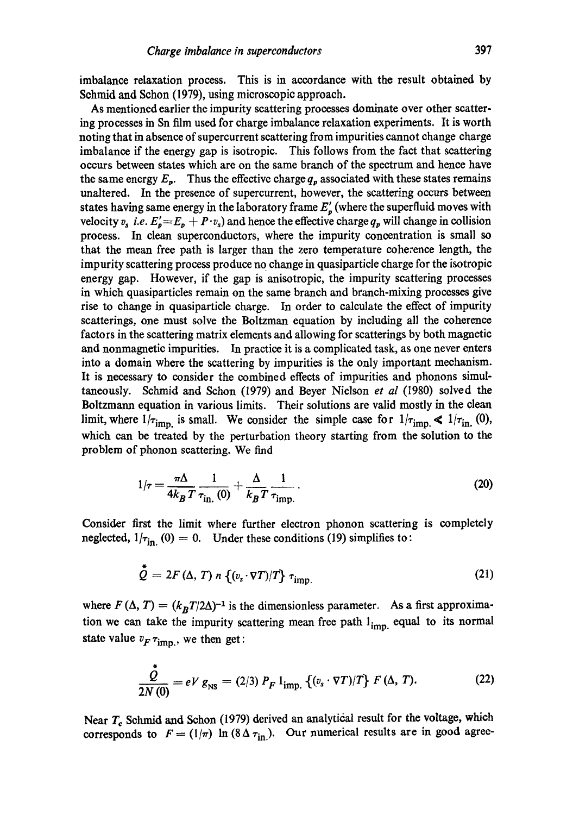imbalance relaxation process. This is in accordance with the result obtained by Schmid and Schon (1979), using microscopic approach.

As mentioned earlier the impurity scattering processes dominate over other scattering processes in Sn film used for charge imbalance relaxation experiments. It is worth noting that in absence of supercurrent scattering from impurities cannot change charge imbalance if the energy gap is isotropic. This follows from the fact that scattering occurs between states which are on the same branch of the spectrum and hence have the same energy  $E_p$ . Thus the effective charge  $q_p$  associated with these states remains unaltered. In the presence of supercurrent, however, the scattering occurs between states having same energy in the laboratory frame  $E'_n$  (where the superfluid moves with velocity  $v_s$  *i.e.*  $E_p' = E_p + P v_s$  and hence the effective charge  $q_p$  will change in collision process. In clean superconductors, where the impurity concentration is small so that the mean free path is larger than the zero temperature coherence length, the impurity scattering process produce no change in quasiparticle charge for the isotropic energy gap. However, if the gap is anisotropic, the impurity scattering processes in which quasiparticles remain on the same branch and branch-mixing processes give rise to change in quasiparticle charge. In order to calculate the effect of impurity scatterings, one must solve the Boltzman equation by including all the coherence factors in the scattering matrix elements and allowing for scatterings by both magnetic and nonmagnetic impurities. In practice it is a complicated task, as one never enters into a domain where the scattering by impurities is the only important mechanism. It is necessary to consider the combined effects of impurities and phonons simultaneously. Schmid and Schon (1979) and Beyer Nielsen *et al* (1980) solved the Boltzmann equation in various limits. Their solutions are valid mostly in the clean limit, where  $1/\tau_{\text{imp}}$  is small. We consider the simple case for  $1/\tau_{\text{imp}} \ll 1/\tau_{\text{in}}$ . (0), which can be treated by the perturbation theory starting from the solution to the problem of phonon scattering. We find

$$
1/\tau = \frac{\pi \Delta}{4k_B T} \frac{1}{\tau_{\text{in.}}(0)} + \frac{\Delta}{k_B T} \frac{1}{\tau_{\text{imp.}}} \,. \tag{20}
$$

Consider first the limit where further electron phonon scattering is completely neglected,  $1/\tau_{\text{in}}(0) = 0$ . Under these conditions (19) simplifies to:

$$
\stackrel{\ast}{\mathcal{Q}}=2F\left(\Delta,\,T\right)\,n\,\left\{(v_{\rm s}\cdot\nabla T)/T\right\}\,\tau_{\rm imp.}\tag{21}
$$

where  $F(\Delta, T) = (k_B T/2\Delta)^{-1}$  is the dimensionless parameter. As a first approximation we can take the impurity scattering mean free path  $l_{\text{imp.}}$  equal to its normal state value  $v_F \tau_{\text{imp.}}$ , we then get:

$$
\frac{\stackrel{\bullet}{\mathcal{Q}}}{2N(0)} = eV g_{\rm NS} = (2/3) P_F 1_{\rm imp.} \{ (v_s \cdot \nabla T)/T \} F (\Delta, T). \tag{22}
$$

Near  $T_c$  Schmid and Schon (1979) derived an analytical result for the voltage, which corresponds to  $F = (1/\pi) \ln(8\Delta \tau_{\text{in}})$ . Our numerical results are in good agree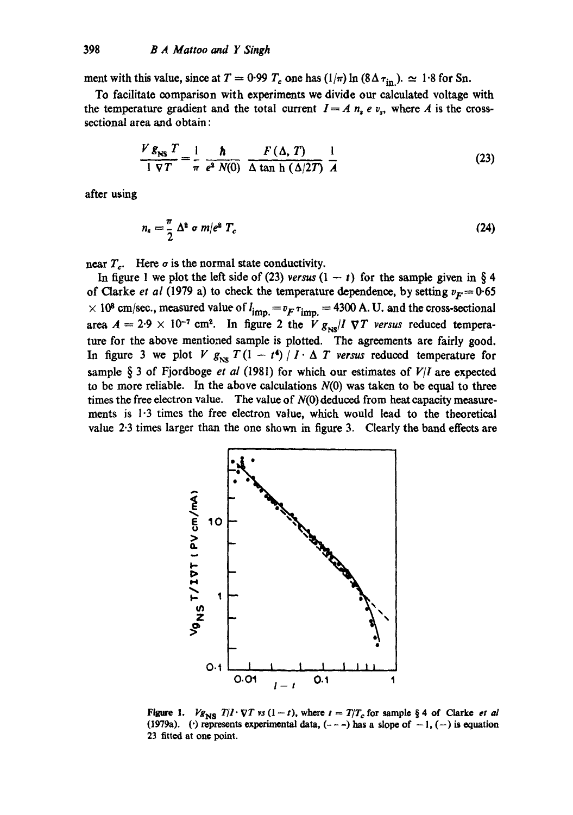ment with this value, since at  $T = 0.99 T_c$  one has  $(1/\pi) \ln (8\Delta \tau_{in})$ .  $\simeq 1.8$  for Sn.

To facilitate oomparison with experiments we divide our calculated voltage with the temperature gradient and the total current  $I = A n_s e v_s$ , where A is the crosssectional area and obtain :

$$
\frac{V g_{\text{NS}} T}{1 \nabla T} = \frac{1}{\pi} \frac{\hbar}{e^2 N(0)} \frac{F(\Delta, T)}{\Delta \tan \frac{\Delta}{2T}} \frac{1}{A}
$$
 (23)

after using

$$
n_s = \frac{\pi}{2} \Delta^2 \sigma m/e^2 T_c \tag{24}
$$

near  $T_c$ . Here  $\sigma$  is the normal state conductivity.

In figure 1 we plot the left side of (23) *versus*  $(1 - t)$  for the sample given in § 4 of Clarke *et al* (1979 a) to check the temperature dependence, by setting  $v_F = 0.65$  $\times$  10<sup>8</sup> cm/sec., measured value of  $l_{imp} = v_F \tau_{imp} = 4300$  A. U. and the cross-sectional area  $A = 2.9 \times 10^{-7}$  cm<sup>2</sup>. In figure 2 the  $V g_{\text{NS}}/I \nabla T$  versus reduced temperature for the above mentioned sample is plotted. The agreements are fairly good. In figure 3 we plot V  $g_{\text{NS}} T (1 - t^4) / I \cdot \Delta T$  versus reduced temperature for sample § 3 of Fjordboge *et al* (1981) for which our estimates of  $V/I$  are expected to be more reliable. In the above calculations  $N(0)$  was taken to be equal to three times the free electron value. The value of  $N(0)$  deduced from heat capacity measurements is 1.3 times the free electron value, which would lead to the theoretical value 2.3 times larger than the one shown in figure 3. Clearly the band effeots are



*Figure 1. Vg<sub>NS</sub> T|I'VT vs* (1-t), where  $t = T/T_c$  for sample § 4 of Clarke *et al* (1979a). ( $\cdot$ ) represents experimental data,  $(- - -)$  has a slope of  $-1$ ,  $(-)$  is equation 23 fitted at one point.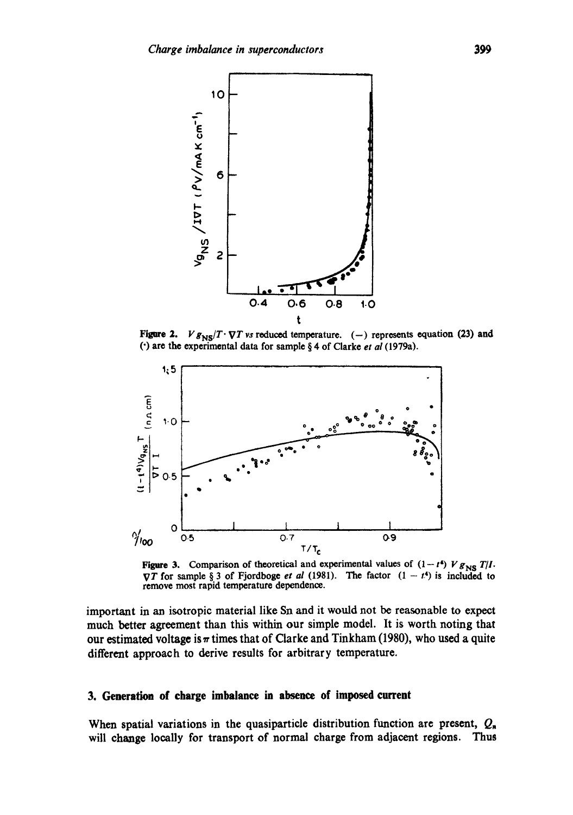

Figure 2. *V*  $g_{NS}/T \cdot \nabla T$  vs reduced temperature. (-) represents equation (23) and (') are the experimental data for sample § 4 of Clarke *et al* (1979a).



Figure 3. Comparison of theoretical and experimental values of  $(1-t^4) V g_{NS} T/I$ .  $\nabla T$  for sample § 3 of Fjordboge *et al* (1981). The factor  $(1 - t^4)$  is included to remove most rapid temperature dependence.

important in an isotropic material like Sn and it would not be reasonable to expect much better agreement than this within our simple model. It is worth noting that our estimated voltage is  $\pi$  times that of Clarke and Tinkham (1980), who used a quite different approach to derive results for arbitrary temperature.

#### **3. Generation of charge imbalance** in absence of imposed current

When spatial variations in the quasiparticle distribution function are present,  $Q_n$ will change locally for transport of normal charge from adjacent regions. Thus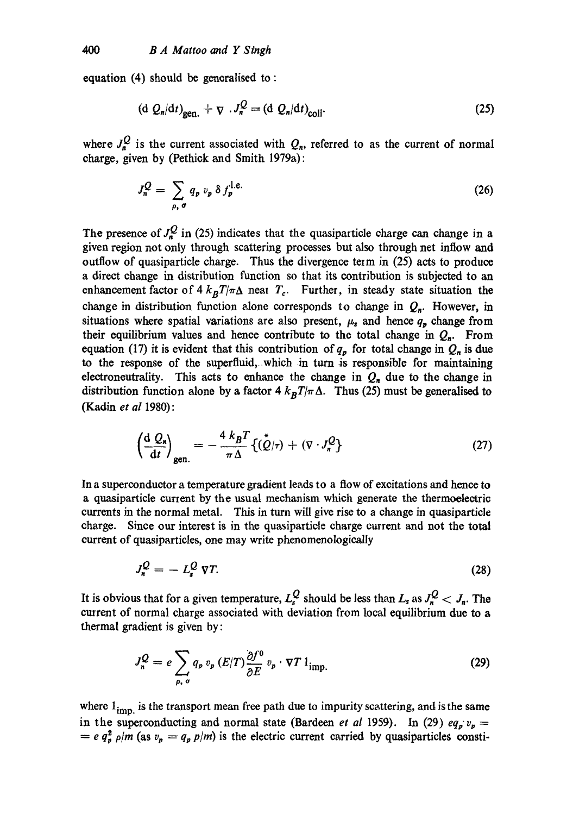equation (4) should be generalised to:

$$
\left(\mathrm{d}\ Q_n/\mathrm{d}t\right)_{\mathrm{gen.}} + \nabla \cdot J_n^{\mathcal{Q}} = \left(\mathrm{d}\ Q_n/\mathrm{d}t\right)_{\mathrm{coll}}.\tag{25}
$$

where  $J_n^Q$  is the current associated with  $Q_n$ , referred to as the current of normal charge, given by (Pethick and Smith 1979a) :

$$
J_n^Q = \sum_{\rho, \sigma} q_p v_p \, \delta \, f_p^{\text{l.e.}} \tag{26}
$$

The presence of  $J_n^Q$  in (25) indicates that the quasiparticle charge can change in a given region not only through scattering processes but also through net inflow and outflow of quasiparticle charge. Thus the divergence term in (25) acts to produce a direct change in distribution function so that its contribution is subjected to an enhancement factor of  $4 k_B T/\pi \Delta$  neat  $T_c$ . Further, in steady state situation the change in distribution function alone corresponds to change in  $Q_n$ . However, in situations where spatial variations are also present,  $\mu_s$  and hence  $q_p$  change from their equilibrium values and hence contribute to the total change in  $Q_n$ . From equation (17) it is evident that this contribution of  $q_p$  for total change in  $Q_n$  is due to the response of the superfluid, which in turn is responsible for maintaining electroneutrality. This acts to enhance the change in  $Q_n$  due to the change in distribution function alone by a factor  $4 k_B T/\pi \Delta$ . Thus (25) must be generalised to (Kadin *et al* 1980):

$$
\left(\frac{\mathrm{d}\ Q_{\mathrm{s}}}{\mathrm{d}t}\right)_{\mathrm{gen.}} = -\frac{4\ k_B T}{\pi\Delta} \{(\stackrel{\star}{Q}|\tau) + (\nabla \cdot J_n^Q\} \tag{27}
$$

In a superconductor a temperature gradient leads to a flow of excitations and hence to a quasiparticle current by the usual mechanism which generate the thermoelectric currents in the normal metal. This in turn will give rise to a change in quasiparticle charge. Since our interest is in the quasiparticle charge current and not the total current of quasiparticles, one may write phenomenologically

$$
J_n^Q = -L_s^Q \nabla T. \tag{28}
$$

It is obvious that for a given temperature,  $L_{s}^{Q}$  should be less than  $L_{s}$  as  $J_{n}^{Q} < J_{n}$ . The current of normal charge associated with deviation from local equilibrium due to a thermal gradient is given by:

$$
J_n^{\mathcal{Q}} = e \sum_{\rho, \sigma} q_{\rho} v_p (E/T) \frac{\partial f^0}{\partial E} v_p \cdot \nabla T 1_{\text{imp.}}
$$
 (29)

where  $1_{imp.}$  is the transport mean free path due to impurity scattering, and is the same in the superconducting and normal state (Bardeen *et al* 1959). In (29)  $eq_p v_p =$  $= e q_p^2 \rho/m$  (as  $v_p = q_p p/m$ ) is the electric current carried by quasiparticles consti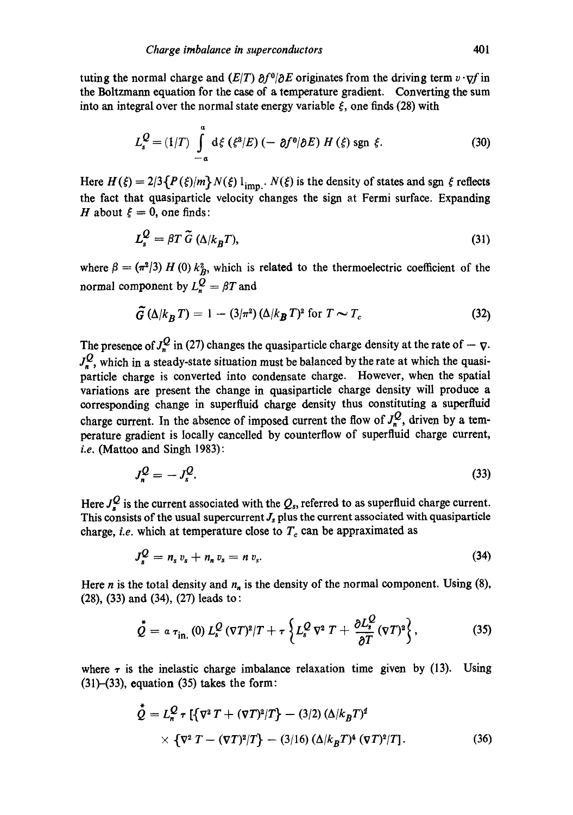tuting the normal charge and  $(E/T) \partial f^0/\partial E$  originates from the driving term  $v \cdot \nabla f$  in the Boltzmann equation for the ease of a temperature gradient. Converting the sum into an integral over the normal state energy variable  $\xi$ , one finds (28) with

$$
L_s^Q = (1/T) \int_{-\alpha}^{\alpha} d\xi \left( \xi^3 / E \right) \left( -\partial f^0 / \partial E \right) H \left( \xi \right) \text{sgn } \xi. \tag{30}
$$

Here  $H(\xi) = 2/3 \{P(\xi)/m\} N(\xi) 1_{\text{imp.}} N(\xi)$  is the density of states and sgn  $\xi$  reflects the fact that quasiparticle velocity changes the sign at Fermi surface. Expanding H about  $\xi = 0$ , one finds:

$$
L_s^Q = \beta T \tilde{G} \left( \Delta / k_B T \right),\tag{31}
$$

where  $\beta = (\pi^2/3) H (0) k_B^2$ , which is related to the thermoelectric coefficient of the normal component by  $L_n^Q = \beta T$  and

$$
\tilde{G} \left( \Delta / k_B T \right) = 1 - (3/\pi^2) \left( \Delta / k_B T \right)^2 \text{ for } T \sim T_c \tag{32}
$$

The presence of  $J_r^{\mathcal{Q}}$  in (27) changes the quasiparticle charge density at the rate of  $-\nabla$ .  $J_{n}^{Q}$ , which in a steady-state situation must be balanced by the rate at which the quasiparticle charge is converted into condensate charge. However, when the spatial variations are present the change in quasiparticle charge density will produce a corresponding change in superfluid charge density thus constituting a superfluid charge current. In the absence of imposed current the flow of  $J_n^Q$ , driven by a temperature gradient is locally cancelled by counterflow of superfluid charge current, *i.e.* (Mattoo and Singh 1983):

$$
J_n^{\mathcal{Q}} = -J_s^{\mathcal{Q}}.\tag{33}
$$

Here  $J_s^Q$  is the current associated with the  $Q_s$ , referred to as superfluid charge current. This consists of the usual supercurrent  $J_s$  plus the current associated with quasiparticle charge, *i.e.* which at temperature close to  $T_c$  can be appraximated as

$$
J_s^Q = n_s v_s + n_n v_s = n v_s. \tag{34}
$$

Here *n* is the total density and  $n_n$  is the density of the normal component. Using (8), **(28), (33) and (34), (27)** leads to:

$$
\stackrel{\star}{Q} = \alpha \tau_{\rm in.} (0) \, L_s^Q \, (\nabla T)^2 / T + \tau \left\{ L_s^Q \, \nabla^2 \, T + \frac{\partial L_s^Q}{\partial T} (\nabla T)^2 \right\}, \tag{35}
$$

where  $\tau$  is the inelastic charge imbalance relaxation time given by (13). Using  $(31)$ – $(33)$ , equation  $(35)$  takes the form:

$$
\ddot{Q} = L_n^Q \tau \left[ \{ \nabla^2 T + (\nabla T)^2 / T \} - (3/2) \left( \Delta / k_B T \right)^2 \right. \\
\times \left\{ \nabla^2 T - (\nabla T)^2 / T \right\} - (3/16) \left( \Delta / k_B T \right)^4 \left( \nabla T \right)^2 / T \right].
$$
\n(36)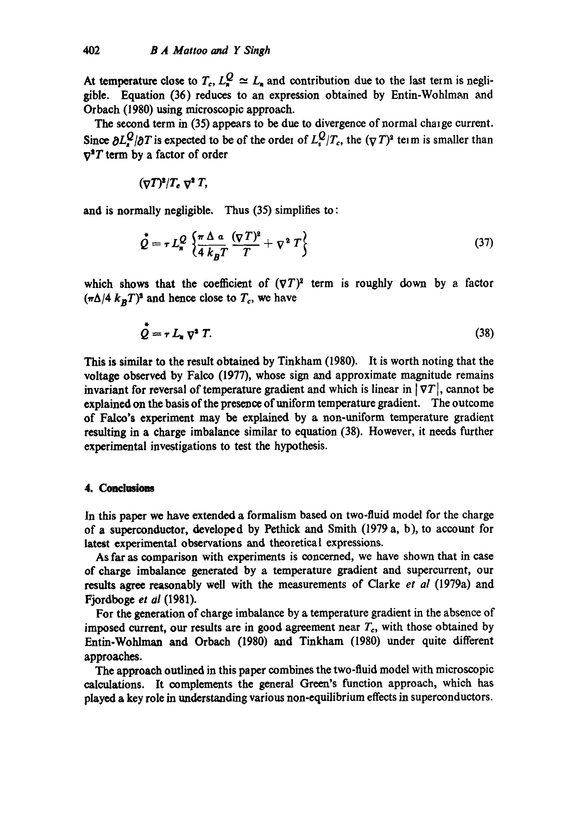At temperature close to  $T_c$ ,  $L_n^Q \simeq L_n$  and contribution due to the last term is negligible. Equation (36) reduces to an expression obtained by Entin-Wohlman and Orbach (1980) using microscopic approach.

The second term in (35) appears to be due to divergence of normal chaige current. Since  $\partial L^Q/\partial T$  is expected to be of the order of  $L^Q_\epsilon/T_c$ , the  $(\nabla T)^2$  teim is smaller than  $\nabla^2 T$  term by a factor of order

$$
(\nabla T)^2/T_c \nabla^2 T,
$$

and is normally negligible. Thus (35) simplifies to:

$$
\stackrel{\bullet}{\mathcal{Q}} = \tau L_n^{\mathcal{Q}} \left\{ \frac{\pi \Delta a}{4 k_B T} \frac{(\nabla T)^2}{T} + \nabla^2 T \right\} \tag{37}
$$

which shows that the coefficient of  $(\nabla T)^2$  term is roughly down by a factor  $(\pi \Delta/4 k_BT)^2$  and hence close to  $T_c$ , we have

$$
\dot{\mathcal{Q}} = r L_n \nabla^2 T. \tag{38}
$$

This is similar to the result obtained by Tinkham (1980). It is worth noting that the voltage observed by Falco (1977), whose sign and approximate magnitude remains invariant for reversal of temperature gradient and which is linear in  $|\nabla T|$ , cannot be explained on the basis of the presence of uniform temperature gradient. The outcome of Falco's experiment may be explained by a non-uniform temperature gradient resulting in a charge imbalance similar to equation (38). However, it needs further experimental investigations to test the hypothesis.

## 4. Conclusions

In this paper we have extended a formalism based on two-fluid model for the charge of a superconductor, developed by Pethick and Smith (1979 a, b), to account for latest experimental observations and theoretical expressions.

As far as comparison with experiments is concerned, we have shown that in case of charge imbalance generated by a temperature gradient and supercurrent, our results agree reasonably well with the measurements of Clarke *et al* (1979a) and Fjordboge *et ai* (1981).

For the generation of charge imbalance by a temperature gradient in the absence of imposed current, our results are in good agreement near  $T_c$ , with those obtained by Entin-Wohlman and Orbach (1980) and Tinkham (1980) under quite different approaches.

The approach outlined in this paper combines the two-fluid model with microscopic calculations. It complements the general Green's function approach, which has played a key role in understanding various non-equilibrium effects in superconductors.